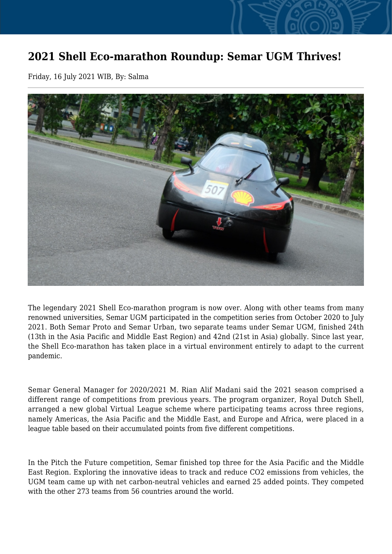## **2021 Shell Eco-marathon Roundup: Semar UGM Thrives!**

Friday, 16 July 2021 WIB, By: Salma



The legendary 2021 Shell Eco-marathon program is now over. Along with other teams from many renowned universities, Semar UGM participated in the competition series from October 2020 to July 2021. Both Semar Proto and Semar Urban, two separate teams under Semar UGM, finished 24th (13th in the Asia Pacific and Middle East Region) and 42nd (21st in Asia) globally. Since last year, the Shell Eco-marathon has taken place in a virtual environment entirely to adapt to the current pandemic.

Semar General Manager for 2020/2021 M. Rian Alif Madani said the 2021 season comprised a different range of competitions from previous years. The program organizer, Royal Dutch Shell, arranged a new global Virtual League scheme where participating teams across three regions, namely Americas, the Asia Pacific and the Middle East, and Europe and Africa, were placed in a league table based on their accumulated points from five different competitions.

In the Pitch the Future competition, Semar finished top three for the Asia Pacific and the Middle East Region. Exploring the innovative ideas to track and reduce CO2 emissions from vehicles, the UGM team came up with net carbon-neutral vehicles and earned 25 added points. They competed with the other 273 teams from 56 countries around the world.